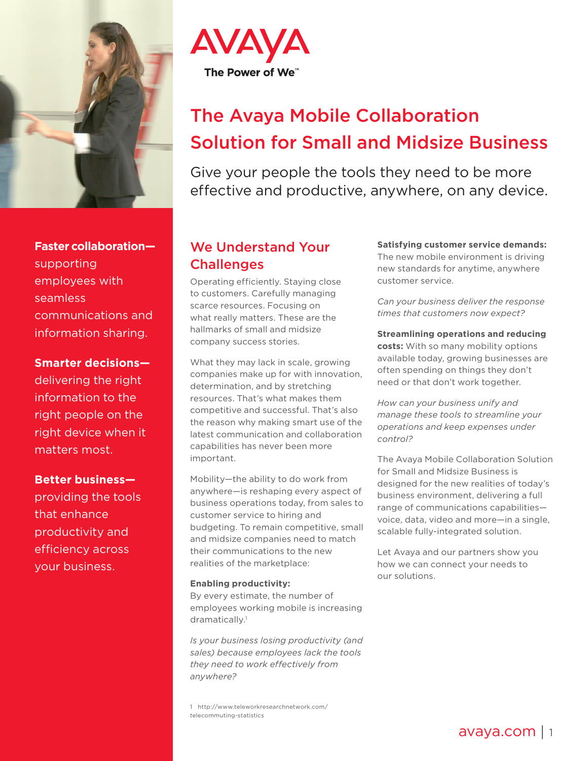

**Faster collaboration** supporting employees with seamless communications and information sharing.

**Smarter decisions—**

delivering the right information to the right people on the right device when it matters most.

**Better business** providing the tools that enhance productivity and efficiency across your business.



# The Avaya Mobile Collaboration Solution for Small and Midsize Business

Give your people the tools they need to be more effective and productive, anywhere, on any device.

# We Understand Your **Challenges**

Operating efficiently. Staying close to customers. Carefully managing scarce resources. Focusing on what really matters. These are the hallmarks of small and midsize company success stories.

What they may lack in scale, growing companies make up for with innovation, determination, and by stretching resources. That's what makes them competitive and successful. That's also the reason why making smart use of the latest communication and collaboration capabilities has never been more important.

Mobility—the ability to do work from anywhere—is reshaping every aspect of business operations today, from sales to customer service to hiring and budgeting. To remain competitive, small and midsize companies need to match their communications to the new realities of the marketplace:

#### **Enabling productivity:**

By every estimate, the number of employees working mobile is increasing dramatically.<sup>1</sup>

*Is your business losing productivity (and sales) because employees lack the tools they need to work effectively from anywhere?* 

1 http://www.teleworkresearchnetwork.com/ telecommuting-statistics

**Satisfying customer service demands:**  The new mobile environment is driving new standards for anytime, anywhere customer service.

*Can your business deliver the response times that customers now expect?*

**Streamlining operations and reducing costs:** With so many mobility options available today, growing businesses are often spending on things they don't need or that don't work together.

*How can your business unify and manage these tools to streamline your operations and keep expenses under control?*

The Avaya Mobile Collaboration Solution for Small and Midsize Business is designed for the new realities of today's business environment, delivering a full range of communications capabilities voice, data, video and more—in a single, scalable fully-integrated solution.

Let Avaya and our partners show you how we can connect your needs to our solutions.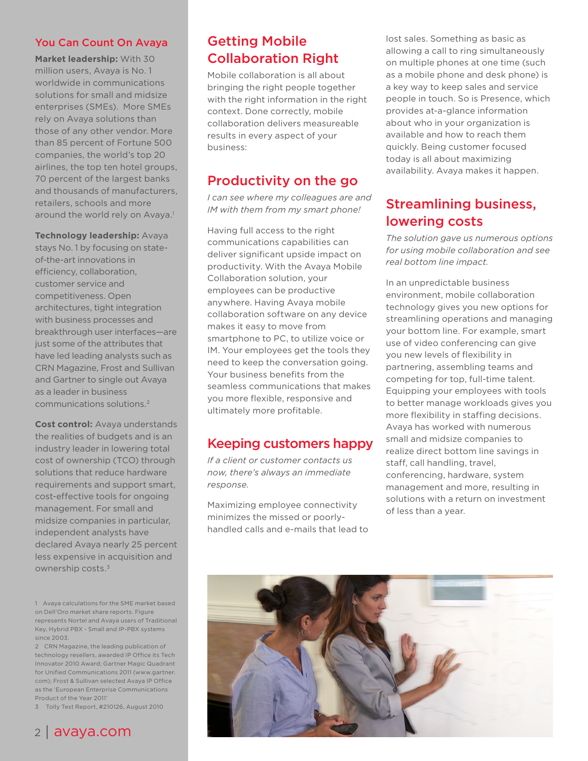#### You Can Count On Avaya

**Market leadership:** With 30 million users, Avaya is No. 1 worldwide in communications solutions for small and midsize enterprises (SMEs). More SMEs rely on Avaya solutions than those of any other vendor. More than 85 percent of Fortune 500 companies, the world's top 20 airlines, the top ten hotel groups, 70 percent of the largest banks and thousands of manufacturers, retailers, schools and more around the world rely on Avaya.<sup>1</sup>

**Technology leadership:** Avaya stays No. 1 by focusing on stateof-the-art innovations in efficiency, collaboration, customer service and competitiveness. Open architectures, tight integration with business processes and breakthrough user interfaces—are just some of the attributes that have led leading analysts such as CRN Magazine, Frost and Sullivan and Gartner to single out Avaya as a leader in business communications solutions.2

**Cost control:** Avaya understands the realities of budgets and is an industry leader in lowering total cost of ownership (TCO) through solutions that reduce hardware requirements and support smart, cost-effective tools for ongoing management. For small and midsize companies in particular, independent analysts have declared Avaya nearly 25 percent less expensive in acquisition and ownership costs.3

1 Avaya calculations for the SME market based on Dell'Oro market share reports. Figure represents Nortel and Avaya users of Traditional Key, Hybrid PBX - Small and IP-PBX systems since 2003.

2 CRN Magazine, the leading publication of technology resellers, awarded IP Office its Tech Innovator 2010 Award; Gartner Magic Quadrant for Unified Communications 2011 (www.gartner. com); Frost & Sullivan selected Avaya IP Office as the 'European Enterprise Communications Product of the Year 2011'

3 Tolly Test Report, #210126, August 2010

# <sup>2</sup> | avaya.com

## Getting Mobile Collaboration Right

Mobile collaboration is all about bringing the right people together with the right information in the right context. Done correctly, mobile collaboration delivers measureable results in every aspect of your business:

### Productivity on the go

*I can see where my colleagues are and IM with them from my smart phone!*

Having full access to the right communications capabilities can deliver significant upside impact on productivity. With the Avaya Mobile Collaboration solution, your employees can be productive anywhere. Having Avaya mobile collaboration software on any device makes it easy to move from smartphone to PC, to utilize voice or IM. Your employees get the tools they need to keep the conversation going. Your business benefits from the seamless communications that makes you more flexible, responsive and ultimately more profitable.

### Keeping customers happy

*If a client or customer contacts us now, there's always an immediate response.* 

Maximizing employee connectivity minimizes the missed or poorlyhandled calls and e-mails that lead to lost sales. Something as basic as allowing a call to ring simultaneously on multiple phones at one time (such as a mobile phone and desk phone) is a key way to keep sales and service people in touch. So is Presence, which provides at-a-glance information about who in your organization is available and how to reach them quickly. Being customer focused today is all about maximizing availability. Avaya makes it happen.

### Streamlining business, lowering costs

*The solution gave us numerous options for using mobile collaboration and see real bottom line impact.*

In an unpredictable business environment, mobile collaboration technology gives you new options for streamlining operations and managing your bottom line. For example, smart use of video conferencing can give you new levels of flexibility in partnering, assembling teams and competing for top, full-time talent. Equipping your employees with tools to better manage workloads gives you more flexibility in staffing decisions. Avaya has worked with numerous small and midsize companies to realize direct bottom line savings in staff, call handling, travel, conferencing, hardware, system management and more, resulting in solutions with a return on investment of less than a year.

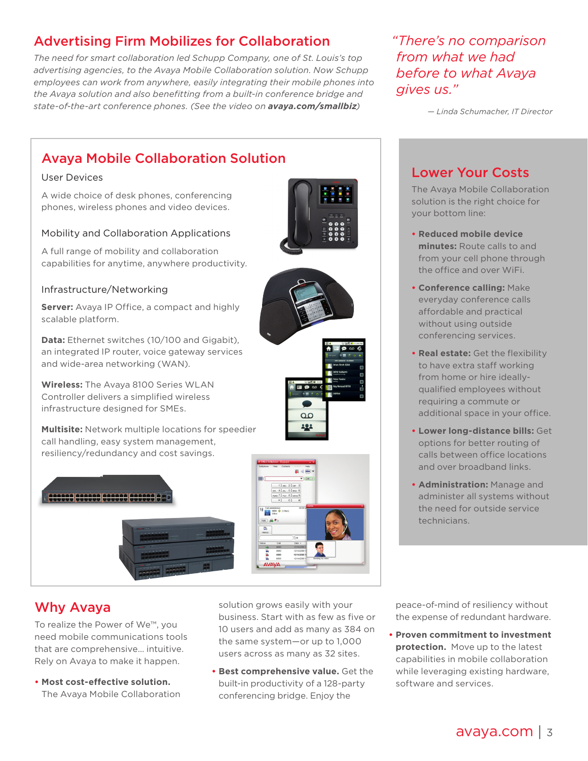# Advertising Firm Mobilizes for Collaboration

*The need for smart collaboration led Schupp Company, one of St. Louis's top advertising agencies, to the Avaya Mobile Collaboration solution. Now Schupp employees can work from anywhere, easily integrating their mobile phones into the Avaya solution and also benefitting from a built-in conference bridge and state-of-the-art conference phones. (See the video on [avaya.com/smallbiz](http://www.avaya.com/smallbiz))*

*"There's no comparison from what we had before to what Avaya gives us."*

*— Linda Schumacher, IT Director*

# Avaya Mobile Collaboration Solution

#### User Devices

A wide choice of desk phones, conferencing phones, wireless phones and video devices.

#### Mobility and Collaboration Applications

A full range of mobility and collaboration capabilities for anytime, anywhere productivity.

#### Infrastructure/Networking

**Server:** Avaya IP Office, a compact and highly scalable platform.

**Data:** Ethernet switches (10/100 and Gigabit), an integrated IP router, voice gateway services and wide-area networking (WAN).

**Wireless:** The Avaya 8100 Series WLAN Controller delivers a simplified wireless infrastructure designed for SMEs.

**Multisite:** Network multiple locations for speedier call handling, easy system management, resiliency/redundancy and cost savings.





To realize the Power of We™, you need mobile communications tools that are comprehensive… intuitive. Rely on Avaya to make it happen.

**• Most cost-effective solution.** The Avaya Mobile Collaboration solution grows easily with your business. Start with as few as five or 10 users and add as many as 384 on the same system—or up to 1,000 users across as many as 32 sites.

**• Best comprehensive value.** Get the built-in productivity of a 128-party conferencing bridge. Enjoy the

peace-of-mind of resiliency without the expense of redundant hardware.

**• Proven commitment to investment protection.** Move up to the latest capabilities in mobile collaboration while leveraging existing hardware, software and services.



**• Administration:** Manage and administer all systems without the need for outside service technicians.



The Avaya Mobile Collaboration solution is the right choice for your bottom line:

- **• Reduced mobile device minutes:** Route calls to and from your cell phone through the office and over WiFi.
- **• Conference calling:** Make everyday conference calls affordable and practical without using outside conferencing services.
- **• Real estate:** Get the flexibility to have extra staff working from home or hire ideallyqualified employees without requiring a commute or additional space in your office.
- **• Lower long-distance bills:** Get options for better routing of calls between office locations and over broadband links.
- 



 $\overline{O}$ 222